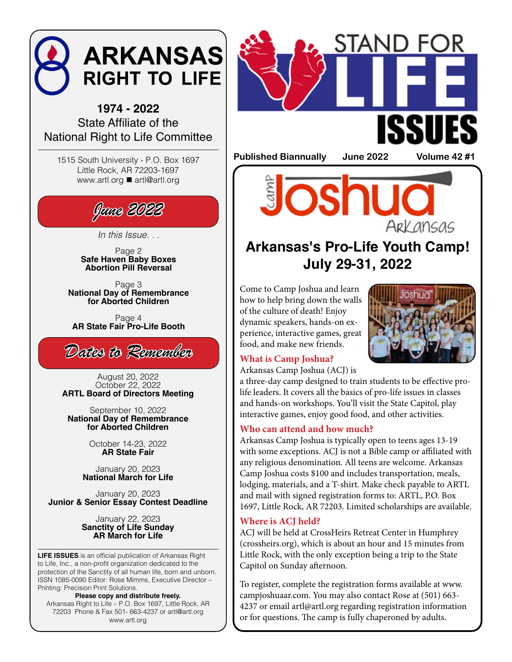

**1974 - 2022** State Affiliate of the National Right to Life Committee

1515 South University - P.O. Box 1697 Little Rock, AR 72203-1697 www.artl.org ■ artl@artl.org



*In this Issue. . .* 

Page 2 **Safe Haven Baby Boxes Abortion Pill Reversal**

Page 3 **National Day of Remembrance for Aborted Children**

Page 4 **AR State Fair Pro-Life Booth**



August 20, 2022 October 22, 2022 **ARTL Board of Directors Meeting**

September 10, 2022 **National Day of Remembrance for Aborted Children** 

> October 14-23, 2022 **AR State Fair**

January 20, 2023 **National March for Life**

January 20, 2023 **Junior & Senior Essay Contest Deadline** 

> January 22, 2023 **Sanctity of Life Sunday AR March for Life**

**LIFE ISSUES** is an official publication of Arkansas Right to Life, Inc., a non-profit organization dedicated to the protection of the Sanctity of all human life, born and unborn. ISSN 1085-0090 Editor: Rose Mimms, Executive Director – Printing: Precision Print Solutions.

**Please copy and distribute freely.** Arkansas Right to Life – P.O. Box 1697, Little Rock, AR 72203 Phone & Fax 501- 663-4237 or artl@artl.org www.artl.org



**Published Biannually June 2022 Volume 42 #1**

**OS** Ark ansas

## **Arkansas's Pro-Life Youth Camp! July 29-31, 2022**

Come to Camp Joshua and learn how to help bring down the walls of the culture of death! Enjoy dynamic speakers, hands-on experience, interactive games, great food, and make new friends.



### **What is Camp Joshua?**

Arkansas Camp Joshua (ACJ) is

a three-day camp designed to train students to be effective prolife leaders. It covers all the basics of pro-life issues in classes and hands-on workshops. You'll visit the State Capitol, play interactive games, enjoy good food, and other activities.

### **Who can attend and how much?**

Arkansas Camp Joshua is typically open to teens ages 13-19 with some exceptions. ACJ is not a Bible camp or affiliated with any religious denomination. All teens are welcome. Arkansas Camp Joshua costs \$100 and includes transportation, meals, lodging, materials, and a T-shirt. Make check payable to ARTL and mail with signed registration forms to: ARTL, P.O. Box 1697, Little Rock, AR 72203. Limited scholarships are available.

### **Where is ACJ held?**

ACJ will be held at CrossHeirs Retreat Center in Humphrey (crossheirs.org), which is about an hour and 15 minutes from Little Rock, with the only exception being a trip to the State Capitol on Sunday afternoon.

To register, complete the registration forms available at www. campjoshuaar.com. You may also contact Rose at (501) 663- 4237 or email artl@artl.org regarding registration information or for questions. The camp is fully chaperoned by adults.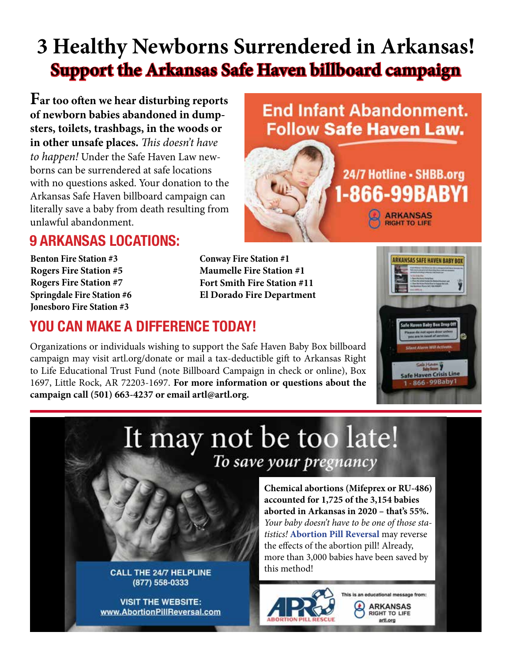# **3 Healthy Newborns Surrendered in Arkansas! Support the Arkansas Safe Haven billboard campaign**

**Far too often we hear disturbing reports of newborn babies abandoned in dumpsters, toilets, trashbags, in the woods or in other unsafe places.** *This doesn't have to happen!* Under the Safe Haven Law newborns can be surrendered at safe locations with no questions asked. Your donation to the Arkansas Safe Haven billboard campaign can literally save a baby from death resulting from unlawful abandonment.

## **End Infant Abandonment. Follow Safe Haven Law.**



## **9 ARKANSAS LOCATIONS:**

**Benton Fire Station #3 Rogers Fire Station #5 Rogers Fire Station #7 Springdale Fire Station #6 Jonesboro Fire Station #3**

**Conway Fire Station #1 Maumelle Fire Station #1 Fort Smith Fire Station #11 El Dorado Fire Department**

## **YOU CAN MAKE A DIFFERENCE TODAY!**

**CALL THE 24/7 HELPLINE** (877) 558-0333

**VISIT THE WEBSITE:** 

www.AbortionPillReversal.com

Organizations or individuals wishing to support the Safe Haven Baby Box billboard campaign may visit artl.org/donate or mail a tax-deductible gift to Arkansas Right to Life Educational Trust Fund (note Billboard Campaign in check or online), Box 1697, Little Rock, AR 72203-1697. **For more information or questions about the campaign call (501) 663-4237 or email artl@artl.org.**



# It may not be too late! To save your pregnancy

**accounted for 1,725 of the 3,154 babies aborted in Arkansas in 2020 – that's 55%.** *Your baby doesn't have to be one of those statistics!* **Abortion Pill Reversal** may reverse the effects of the abortion pill! Already, more than 3,000 babies have been saved by this method!

**Chemical abortions (Mifeprex or RU-486)** 



This is an educational message from: **ARKANSAS** RIGHT TO LIFE arti.org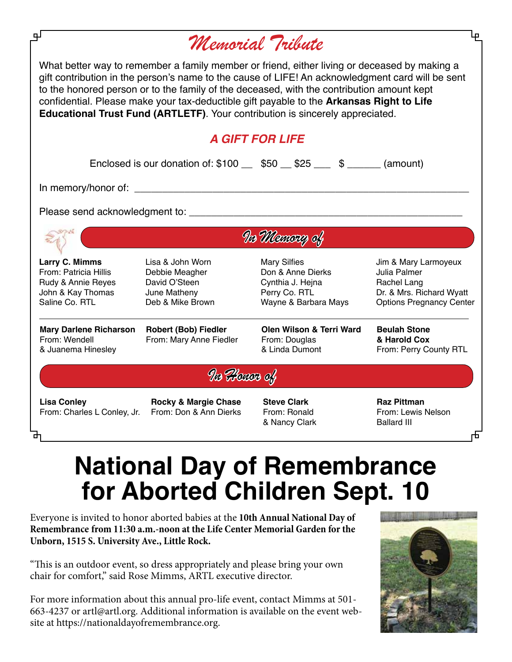| ᆚ                                                                                                    |                                                                                         | Memorial Tribute                                                                                                                                                                                                                                                                                                                                                                                                                                                           |                                                                                                                    |
|------------------------------------------------------------------------------------------------------|-----------------------------------------------------------------------------------------|----------------------------------------------------------------------------------------------------------------------------------------------------------------------------------------------------------------------------------------------------------------------------------------------------------------------------------------------------------------------------------------------------------------------------------------------------------------------------|--------------------------------------------------------------------------------------------------------------------|
|                                                                                                      |                                                                                         | What better way to remember a family member or friend, either living or deceased by making a<br>gift contribution in the person's name to the cause of LIFE! An acknowledgment card will be sent<br>to the honored person or to the family of the deceased, with the contribution amount kept<br>confidential. Please make your tax-deductible gift payable to the Arkansas Right to Life<br>Educational Trust Fund (ARTLETF). Your contribution is sincerely appreciated. |                                                                                                                    |
|                                                                                                      |                                                                                         | <b>A GIFT FOR LIFE</b>                                                                                                                                                                                                                                                                                                                                                                                                                                                     |                                                                                                                    |
|                                                                                                      |                                                                                         | Enclosed is our donation of: $$100$ _ $$50$ $$25$ _ $$$ _ $$$ _ _ (amount)                                                                                                                                                                                                                                                                                                                                                                                                 |                                                                                                                    |
|                                                                                                      |                                                                                         |                                                                                                                                                                                                                                                                                                                                                                                                                                                                            |                                                                                                                    |
|                                                                                                      |                                                                                         |                                                                                                                                                                                                                                                                                                                                                                                                                                                                            |                                                                                                                    |
| Va Mexicap of                                                                                        |                                                                                         |                                                                                                                                                                                                                                                                                                                                                                                                                                                                            |                                                                                                                    |
| Larry C. Mimms<br>From: Patricia Hillis<br>Rudy & Annie Reyes<br>John & Kay Thomas<br>Saline Co. RTL | Lisa & John Worn<br>Debbie Meagher<br>David O'Steen<br>June Matheny<br>Deb & Mike Brown | <b>Mary Silfies</b><br>Don & Anne Dierks<br>Cynthia J. Hejna<br>Perry Co. RTL<br>Wayne & Barbara Mays                                                                                                                                                                                                                                                                                                                                                                      | Jim & Mary Larmoyeux<br>Julia Palmer<br>Rachel Lang<br>Dr. & Mrs. Richard Wyatt<br><b>Options Pregnancy Center</b> |
| <b>Mary Darlene Richarson</b><br>From: Wendell<br>& Juanema Hinesley                                 | <b>Robert (Bob) Fiedler</b><br>From: Mary Anne Fiedler                                  | Olen Wilson & Terri Ward<br>From: Douglas<br>& Linda Dumont                                                                                                                                                                                                                                                                                                                                                                                                                | <b>Beulah Stone</b><br>& Harold Cox<br>From: Perry County RTL                                                      |
|                                                                                                      | Vo Honor of                                                                             |                                                                                                                                                                                                                                                                                                                                                                                                                                                                            |                                                                                                                    |
| <b>Lisa Conley</b><br>From: Charles L Conley, Jr.                                                    | <b>Rocky &amp; Margie Chase</b><br>From: Don & Ann Dierks                               | <b>Steve Clark</b><br>From: Ronald<br>& Nancy Clark                                                                                                                                                                                                                                                                                                                                                                                                                        | <b>Raz Pittman</b><br>From: Lewis Nelson<br><b>Ballard III</b>                                                     |

# **National Day of Remembrance for Aborted Children Sept. 10**

Everyone is invited to honor aborted babies at the **10th Annual National Day of Remembrance from 11:30 a.m.-noon at the Life Center Memorial Garden for the Unborn, 1515 S. University Ave., Little Rock.**

"This is an outdoor event, so dress appropriately and please bring your own chair for comfort," said Rose Mimms, ARTL executive director.

For more information about this annual pro-life event, contact Mimms at 501- 663-4237 or artl@artl.org. Additional information is available on the event website at https://nationaldayofremembrance.org.